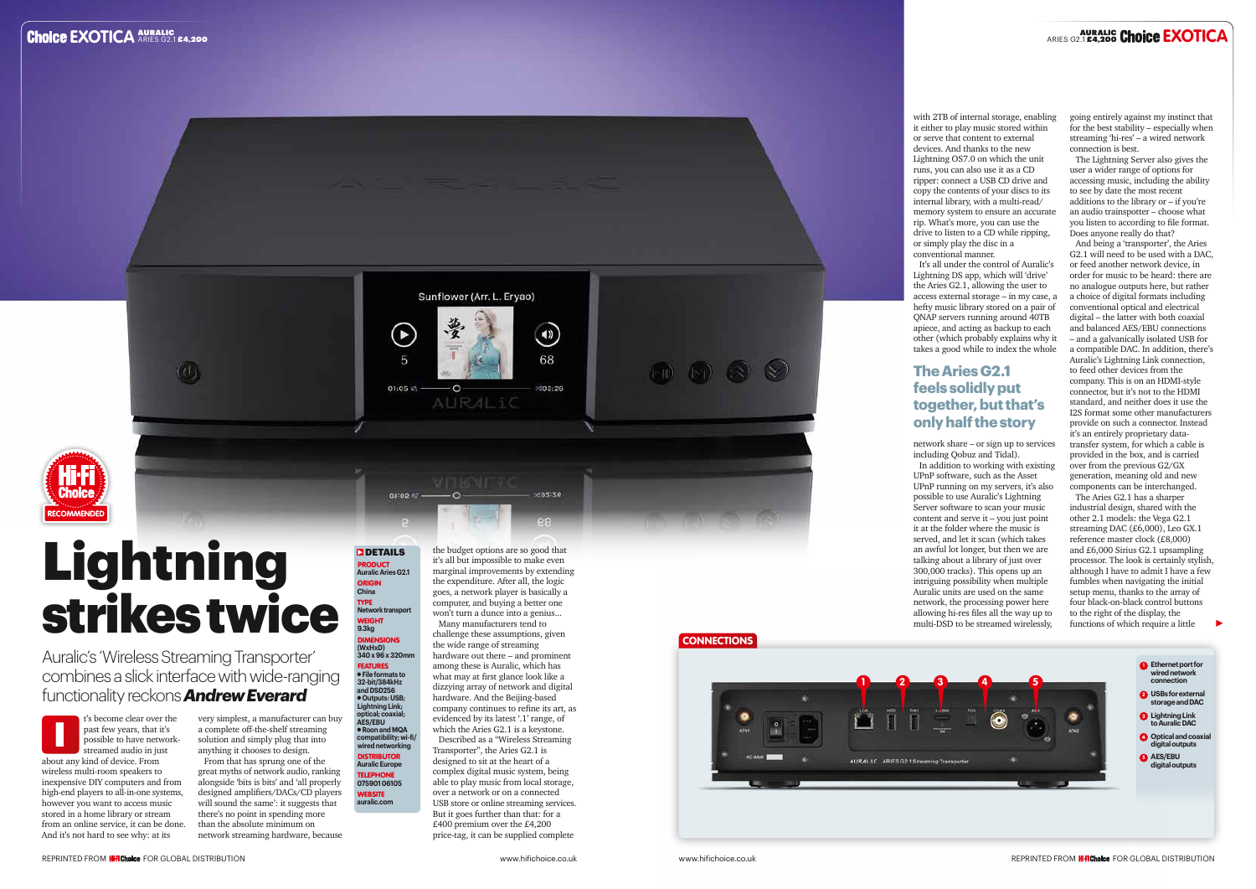#### **DETAILS** PRODUCT **Auralic Aries G2.1** ORIGIN **China** TYPE **Network transport EIGHT 9.3kg**

⊊

01:05  $\leq$  -

outop et





# **Lightning** strikes twice

## DIMENSIONS **(WxHxD) 340 x 96 x 320mm** FEATURES l **File formats to 32-bit/384kHz and DSD256** l **Outputs: USB; Lightning Link; optical; coaxial; AES/EBU**  l **Roon and MQA compatibility; wi-fi/ wired networking**

DISTRIBUTOR **Auralic Europe** TELEPHONE **075901 06105 WEBSITE auralic.com**

Auralic's 'Wireless Streaming Transporter' combines a slick interface with wide-ranging functionality reckons *Andrew Everard*

> very simplest, a manufacturer can buy a complete off-the-shelf streaming solution and simply plug that into anything it chooses to design.

From that has sprung one of the great myths of network audio, ranking alongside 'bits is bits' and 'all properly designed amplifiers/DACs/CD players will sound the same': it suggests that there's no point in spending more than the absolute minimum on network streaming hardware, because the budget options are so good that it's all but impossible to make even marginal improvements by extending the expenditure. After all, the logic goes, a network player is basically a computer, and buying a better one won't turn a dunce into a genius...

Sunflower (Arr. L. Eryao)

 $\overline{O}$ 

AURALiC

 $\circledast$ 

68

 $×02:26$ 

102:26

Many manufacturers tend to challenge these assumptions, given the wide range of streaming hardware out there – and prominent among these is Auralic, which has what may at first glance look like a dizzying array of network and digital hardware. And the Beijing-based company continues to refine its art, as evidenced by its latest '.1' range, of which the Aries G2.1 is a keystone. Described as a "Wireless Streaming Transporter", the Aries G2.1 is designed to sit at the heart of a complex digital music system, being able to play music from local storage, over a network or on a connected USB store or online streaming services. But it goes further than that: for a £400 premium over the £4,200 price-tag, it can be supplied complete

## **CONNECTIONS**

 $\circledcirc$   $\circledcirc$   $\circledcirc$ 

with 2TB of internal storage, enabling it either to play music stored within or serve that content to external devices. And thanks to the new Lightning OS7.0 on which the unit runs, you can also use it as a CD ripper: connect a USB CD drive and copy the contents of your discs to its internal library, with a multi-read/ memory system to ensure an accurate rip. What's more, you can use the drive to listen to a CD while ripping, or simply play the disc in a conventional manner.

t's become clear over the past few years, that it's possible to have networkstreamed audio in just about any kind of device. From wireless multi-room speakers to inexpensive DIY computers and from high-end players to all-in-one systems, however you want to access music stored in a home library or stream from an online service, it can be done. And it's not hard to see why: at its I

It's all under the control of Auralic's Lightning DS app, which will 'drive' the Aries G2.1, allowing the user to access external storage – in my case, a hefty music library stored on a pair of QNAP servers running around 40TB apiece, and acting as backup to each other (which probably explains why it takes a good while to index the whole

network share – or sign up to services including Qobuz and Tidal). In addition to working with existing UPnP software, such as the Asset UPnP running on my servers, it's also possible to use Auralic's Lightning Server software to scan your music content and serve it – you just point it at the folder where the music is served, and let it scan (which takes an awful lot longer, but then we are talking about a library of just over 300,000 tracks). This opens up an intriguing possibility when multiple Auralic units are used on the same network, the processing power here allowing hi-res files all the way up to multi-DSD to be streamed wirelessly,





going entirely against my instinct that for the best stability – especially when streaming 'hi-res' – a wired network connection is best.

The Lightning Server also gives the user a wider range of options for accessing music, including the ability to see by date the most recent additions to the library or – if you're an audio trainspotter – choose what you listen to according to file format. Does anyone really do that?

And being a 'transporter', the Aries G2.1 will need to be used with a DAC, or feed another network device, in order for music to be heard: there are no analogue outputs here, but rather a choice of digital formats including conventional optical and electrical digital – the latter with both coaxial and balanced AES/EBU connections – and a galvanically isolated USB for a compatible DAC. In addition, there's Auralic's Lightning Link connection, to feed other devices from the company. This is on an HDMI-style connector, but it's not to the HDMI standard, and neither does it use the I2S format some other manufacturers provide on such a connector. Instead .<br>it's an entirely proprietary datatransfer system, for which a cable is provided in the box, and is carried over from the previous G2/GX generation, meaning old and new components can be interchanged.

The Aries G2.1 has a sharper industrial design, shared with the other 2.1 models: the Vega G2.1 streaming DAC (£6,000), Leo GX.1 reference master clock (£8,000) and £6,000 Sirius G2.1 upsampling processor. The look is certainly stylish, although I have to admit I have a few fumbles when navigating the initial setup menu, thanks to the array of four black-on-black control buttons to the right of the display, the functions of which require a little

### **The Aries G2.1 feels solidly put together, but that's only half the story**

AURALIC ARIES G2.1 £4,200 AURALIC **EXOTICA** ARIES G2.1 £4,200 **EXOTICA**